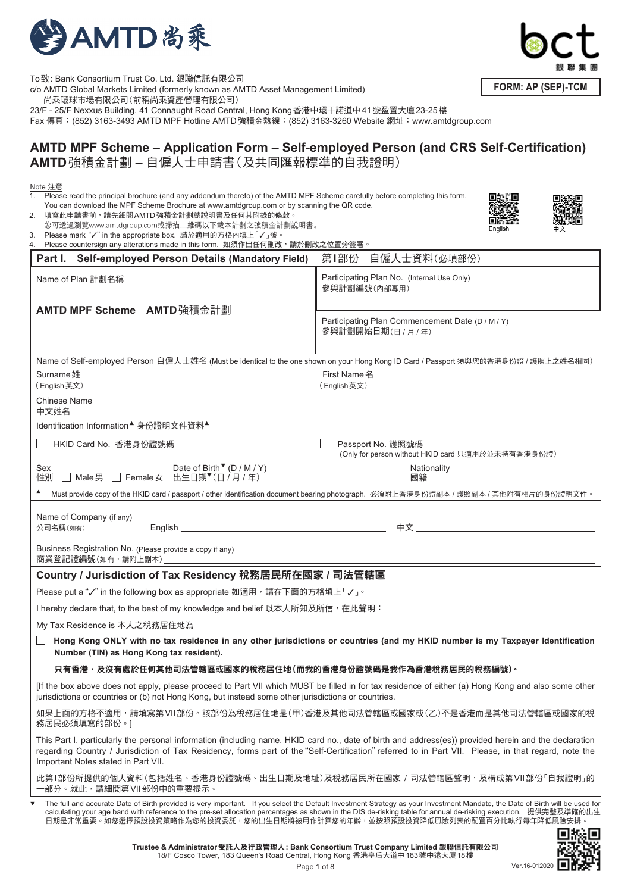

To致: Bank Consortium Trust Co. Ltd. 銀聯信託有限公司 c/o AMTD Global Markets Limited (formerly known as AMTD Asset Management Limited) 尚乘環球市場有限公司(前稱尚乘資產管理有限公司)

23/F - 25/F Nexxus Building, 41 Connaught Road Central, Hong Kong香港中環干諾道中41號盈置大廈23-25樓

Fax 傳真: (852) 3163-3493 AMTD MPF Hotline AMTD強積金熱線: (852) 3163-3260 Website 網址:www.amtdgroup.com

# **AMTD MPF Scheme – Application Form – Self-employed Person (and CRS Self-Certification) AMTD**強積金計劃 **–** 自僱人士申請書(及共同匯報標準的自我證明)

| Note 注意<br>1. Please read the principal brochure (and any addendum thereto) of the AMTD MPF Scheme carefully before completing this form.<br>You can download the MPF Scheme Brochure at www.amtdgroup.com or by scanning the QR code.<br>2. 填寫此申請書前,請先細閱AMTD強積金計劃總說明書及任何其附錄的條款。<br>您可透過瀏覽www.amtdgroup.com或掃描二維碼以下載本計劃之強積金計劃說明書。<br>Please mark "√" in the appropriate box. 請於適用的方格內填上「√」號。<br>3.<br>Please countersign any alterations made in this form. 如須作出任何刪改,請於刪改之位置旁簽署。 | English                                                                                                                                                                                                                                                                                                                                                                                                                       |  |  |  |  |  |
|----------------------------------------------------------------------------------------------------------------------------------------------------------------------------------------------------------------------------------------------------------------------------------------------------------------------------------------------------------------------------------------------------------------------------------------------------------------------------------|-------------------------------------------------------------------------------------------------------------------------------------------------------------------------------------------------------------------------------------------------------------------------------------------------------------------------------------------------------------------------------------------------------------------------------|--|--|--|--|--|
| Part I. Self-employed Person Details (Mandatory Field)                                                                                                                                                                                                                                                                                                                                                                                                                           | 自僱人士資料(必填部份)<br>第Ⅰ部份                                                                                                                                                                                                                                                                                                                                                                                                          |  |  |  |  |  |
| Name of Plan 計劃名稱                                                                                                                                                                                                                                                                                                                                                                                                                                                                | Participating Plan No. (Internal Use Only)<br>參與計劃編號(內部專用)                                                                                                                                                                                                                                                                                                                                                                    |  |  |  |  |  |
| AMTD MPF Scheme AMTD 強積金計劃                                                                                                                                                                                                                                                                                                                                                                                                                                                       | Participating Plan Commencement Date (D / M / Y)<br>參與計劃開始日期(日/月/年)                                                                                                                                                                                                                                                                                                                                                           |  |  |  |  |  |
| Name of Self-employed Person 自僱人士姓名 (Must be identical to the one shown on your Hong Kong ID Card / Passport 須與您的香港身份證 / 護照上之姓名相同)                                                                                                                                                                                                                                                                                                                                               |                                                                                                                                                                                                                                                                                                                                                                                                                               |  |  |  |  |  |
| Surname姓                                                                                                                                                                                                                                                                                                                                                                                                                                                                         | First Name 名<br>(English英文) しょうこうしょう しょうしょう しょうしょう しょうしょう しょうしょう                                                                                                                                                                                                                                                                                                                                                              |  |  |  |  |  |
| Chinese Name<br>中文姓名                                                                                                                                                                                                                                                                                                                                                                                                                                                             |                                                                                                                                                                                                                                                                                                                                                                                                                               |  |  |  |  |  |
| Identification Information▲ 身份證明文件資料▲                                                                                                                                                                                                                                                                                                                                                                                                                                            |                                                                                                                                                                                                                                                                                                                                                                                                                               |  |  |  |  |  |
|                                                                                                                                                                                                                                                                                                                                                                                                                                                                                  | Passport No. 護照號碼<br>(Only for person without HKID card 只適用於並未持有香港身份證)                                                                                                                                                                                                                                                                                                                                                        |  |  |  |  |  |
|                                                                                                                                                                                                                                                                                                                                                                                                                                                                                  | Nationality<br>「國籍」 こうしょう しょうしょう しょうしょく                                                                                                                                                                                                                                                                                                                                                                                       |  |  |  |  |  |
|                                                                                                                                                                                                                                                                                                                                                                                                                                                                                  | Must provide copy of the HKID card / passport / other identification document bearing photograph. 必須附上香港身份證副本 / 護照副本 / 其他附有相片的身份證明文件。                                                                                                                                                                                                                                                                                         |  |  |  |  |  |
| Name of Company (if any)<br>公司名稱(如有)                                                                                                                                                                                                                                                                                                                                                                                                                                             |                                                                                                                                                                                                                                                                                                                                                                                                                               |  |  |  |  |  |
| Business Registration No. (Please provide a copy if any)                                                                                                                                                                                                                                                                                                                                                                                                                         |                                                                                                                                                                                                                                                                                                                                                                                                                               |  |  |  |  |  |
| Country / Jurisdiction of Tax Residency 稅務居民所在國家 / 司法管轄區                                                                                                                                                                                                                                                                                                                                                                                                                         |                                                                                                                                                                                                                                                                                                                                                                                                                               |  |  |  |  |  |
| Please put a "√" in the following box as appropriate 如適用,請在下面的方格填上「√」。                                                                                                                                                                                                                                                                                                                                                                                                           |                                                                                                                                                                                                                                                                                                                                                                                                                               |  |  |  |  |  |
| I hereby declare that, to the best of my knowledge and belief 以本人所知及所信,在此聲明:                                                                                                                                                                                                                                                                                                                                                                                                     |                                                                                                                                                                                                                                                                                                                                                                                                                               |  |  |  |  |  |
| My Tax Residence is 本人之稅務居住地為                                                                                                                                                                                                                                                                                                                                                                                                                                                    |                                                                                                                                                                                                                                                                                                                                                                                                                               |  |  |  |  |  |
| Number (TIN) as Hong Kong tax resident).                                                                                                                                                                                                                                                                                                                                                                                                                                         | Hong Kong ONLY with no tax residence in any other jurisdictions or countries (and my HKID number is my Taxpayer Identification                                                                                                                                                                                                                                                                                                |  |  |  |  |  |
| 只有香港,及沒有處於任何其他司法管轄區或國家的稅務居住地(而我的香港身份證號碼是我作為香港稅務居民的稅務編號)。                                                                                                                                                                                                                                                                                                                                                                                                                         |                                                                                                                                                                                                                                                                                                                                                                                                                               |  |  |  |  |  |
| jurisdictions or countries or (b) not Hong Kong, but instead some other jurisdictions or countries.                                                                                                                                                                                                                                                                                                                                                                              | [If the box above does not apply, please proceed to Part VII which MUST be filled in for tax residence of either (a) Hong Kong and also some other                                                                                                                                                                                                                                                                            |  |  |  |  |  |
| 務居民必須填寫的部份。]                                                                                                                                                                                                                                                                                                                                                                                                                                                                     | 如果上面的方格不適用,請填寫第 VII 部份。該部份為稅務居住地是(甲)香港及其他司法管轄區或國家或(乙)不是香港而是其他司法管轄區或國家的稅                                                                                                                                                                                                                                                                                                                                                       |  |  |  |  |  |
| Important Notes stated in Part VII.                                                                                                                                                                                                                                                                                                                                                                                                                                              | This Part I, particularly the personal information (including name, HKID card no., date of birth and address(es)) provided herein and the declaration<br>regarding Country / Jurisdiction of Tax Residency, forms part of the "Self-Certification" referred to in Part VII. Please, in that regard, note the                                                                                                                  |  |  |  |  |  |
| 此第I部份所提供的個人資料(包括姓名、香港身份證號碼、出生日期及地址)及稅務居民所在國家 / 司法管轄區聲明,及構成第VII部份「自我證明」的<br>·部分。就此,請細閱第 VII 部份中的重要提示。                                                                                                                                                                                                                                                                                                                                                                             |                                                                                                                                                                                                                                                                                                                                                                                                                               |  |  |  |  |  |
| ▼                                                                                                                                                                                                                                                                                                                                                                                                                                                                                | The full and accurate Date of Birth provided is very important. If you select the Default Investment Strategy as your Investment Mandate, the Date of Birth will be used for<br>calculating your age band with reference to the pre-set allocation percentages as shown in the DIS de-risking table for annual de-risking execution. 提供完整及準確的出生<br>日期是非常重要。如您選擇預設投資策略作為您的投資委託,您的出生日期將被用作計算您的年齡,並按照預設投資降低風險列表的配置百分比執行每年降低風險安排。 |  |  |  |  |  |



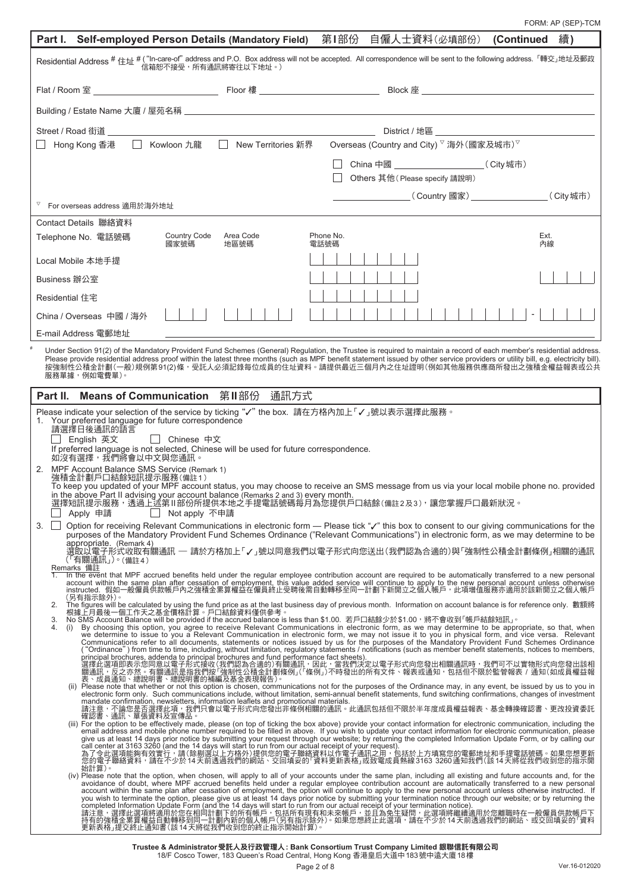FORM: AP (SEP)-TCM

| Part I. Self-employed Person Details (Mandatory Field)  第I部份 自僱人士資料(必填部份)  (Continued                                                                                                                                                                                                                                                                                                                                                                                                          |                                                                                   | 續)   |
|------------------------------------------------------------------------------------------------------------------------------------------------------------------------------------------------------------------------------------------------------------------------------------------------------------------------------------------------------------------------------------------------------------------------------------------------------------------------------------------------|-----------------------------------------------------------------------------------|------|
| Residential Address # 住址 # ( "In-care-of" address and P.O. Box address will not be accepted. All correspondence will be sent to the following address. 「轉交」地址及郵政<br>信箱恕不接受,所有通訊將寄往以下地址。)                                                                                                                                                                                                                                                                                                       |                                                                                   |      |
|                                                                                                                                                                                                                                                                                                                                                                                                                                                                                                |                                                                                   |      |
|                                                                                                                                                                                                                                                                                                                                                                                                                                                                                                |                                                                                   |      |
|                                                                                                                                                                                                                                                                                                                                                                                                                                                                                                |                                                                                   |      |
|                                                                                                                                                                                                                                                                                                                                                                                                                                                                                                |                                                                                   |      |
|                                                                                                                                                                                                                                                                                                                                                                                                                                                                                                | China 中國 _____________________________( City 城市)<br>Others 其他(Please specify 請說明) |      |
|                                                                                                                                                                                                                                                                                                                                                                                                                                                                                                |                                                                                   |      |
| For overseas address 適用於海外地址                                                                                                                                                                                                                                                                                                                                                                                                                                                                   |                                                                                   |      |
| Contact Details 聯絡資料<br>Country Code<br>Area Code                                                                                                                                                                                                                                                                                                                                                                                                                                              | Phone No.                                                                         | Ext. |
| Telephone No. 電話號碼<br>國家號碼<br>地區號碼                                                                                                                                                                                                                                                                                                                                                                                                                                                             | 電話號碼                                                                              | 內線   |
| Local Mobile 本地手提                                                                                                                                                                                                                                                                                                                                                                                                                                                                              |                                                                                   |      |
| Business 辦公室                                                                                                                                                                                                                                                                                                                                                                                                                                                                                   |                                                                                   |      |
| Residential 住宅                                                                                                                                                                                                                                                                                                                                                                                                                                                                                 |                                                                                   |      |
| China / Overseas 中國 / 海外<br>E-mail Address 電郵地址                                                                                                                                                                                                                                                                                                                                                                                                                                                |                                                                                   |      |
| Under Section 91(2) of the Mandatory Provident Fund Schemes (General) Regulation, the Trustee is required to maintain a record of each member's residential address.                                                                                                                                                                                                                                                                                                                           |                                                                                   |      |
| Please provide residential address proof within the latest three months (such as MPF benefit statement issued by other service providers or utility bill, e.g. electricity bill).<br>按強制性公積金計劃(一般)規例第91(2)條,受託人必須記錄每位成員的住址資料。請提供最近三個月內之住址證明(例如其他服務供應商所發出之強積金權益報表或公共<br>服務單據,例如電費單)。                                                                                                                                                                                                            |                                                                                   |      |
| Part II. Means of Communication 第II部份<br>通訊方式                                                                                                                                                                                                                                                                                                                                                                                                                                                  |                                                                                   |      |
| Please indicate your selection of the service by ticking "√" the box. 請在方格內加上「√」號以表示選擇此服務。<br>1. Your preferred language for future correspondence                                                                                                                                                                                                                                                                                                                                             |                                                                                   |      |
| 請選擇日後通訊的語言<br>English 英文<br>    Chinese 中文                                                                                                                                                                                                                                                                                                                                                                                                                                                     |                                                                                   |      |
| If preferred language is not selected, Chinese will be used for future correspondence.<br>如沒有選擇,我們將會以中文與您通訊。                                                                                                                                                                                                                                                                                                                                                                                   |                                                                                   |      |
| 2. MPF Account Balance SMS Service (Remark 1)<br>強積金計劃戶口結餘短訊提示服務(備註1)                                                                                                                                                                                                                                                                                                                                                                                                                          |                                                                                   |      |
| To keep you updated of your MPF account status, you may choose to receive an SMS message from us via your local mobile phone no. provided<br>in the above Part II advising your account balance (Remarks 2 and 3) every month.<br>選擇短訊提示服務,透過上述第 II部份所提供本地之手提電話號碼每月為您提供戶口結餘(備註2及3),讓您掌握戶口最新狀況。<br>Apply 申請<br>Not apply 不申請                                                                                                                                                                    |                                                                                   |      |
| Option for receiving Relevant Communications in electronic form - Please tick "" this box to consent to our giving communications for the<br>3.<br>purposes of the Mandatory Provident Fund Schemes Ordinance ("Relevant Communications") in electronic form, as we may determine to be                                                                                                                                                                                                        |                                                                                   |      |
| appropriate. (Remark 4)<br>選取以電子形式收取有關通訊 ─ 請於方格加上「✔」號以同意我們以電子形式向您送出(我們認為合適的)與「強制性公積金計劃條例」相關的通訊<br>(「有關通訊」)。(備註4)                                                                                                                                                                                                                                                                                                                                                                               |                                                                                   |      |
| Remarks 備註<br>In the event that MPF accrued benefits held under the regular employee contribution account are required to be automatically transferred to a new personal<br>account within the same plan after cessation of employment, this value added service will continue to apply to the new personal account unless otherwise                                                                                                                                                           |                                                                                   |      |
| instructed. 假如一般僱員供款帳戶內之強積金累算權益在僱員終止受聘後需自動轉移至同一計劃下新開立之個人帳戶,此項增值服務亦適用於該新開立之個人帳戶<br>(另有指示除外)。                                                                                                                                                                                                                                                                                                                                                                                                    |                                                                                   |      |
| The figures will be calculated by using the fund price as at the last business day of previous month. Information on account balance is for reference only. 數額將<br>2.<br>根據上月最後一個工作天之基金價格計算。戶口結餘資料僅供參考。<br>No SMS Account Balance will be provided if the accrued balance is less than \$1.00. 若戶口結餘少於\$1.00,將不會收到「帳戶結餘短訊」。<br>3.                                                                                                                                                              |                                                                                   |      |
| By choosing this option, you agree to receive Relevant Communications in electronic form, as we may determine to be appropriate, so that, when<br>4.<br>we determine to issue to you a Relevant Communication in electronic form, we may not issue it to you in physical form, and vice versa. Relevant<br>Communications refer to all documents, statements or notices issued by us for the purposes of the Mandatory Provident Fund Schemes Ordinance                                        |                                                                                   |      |
| ("Ordinance") from time to time, including, without limitation, regulatory statements / notifications (such as member benefit statements, notices to members,<br>principal brochures, addenda to principal brochures and fund performance fact sheets).                                                                                                                                                                                                                                        |                                                                                   |      |
| 選擇此選項即表示您同意以電子形式接收(我們認為合適的)有關通訊,因此,當我們決定以電子形式向您發出相關通訊時,我們可不以實物形式向您發出該相<br><u>關通訊,反</u> 之亦然 <u>。有關通訊是指我們按「強制性公積金計</u> 劃條例」(「條例」)不時發出的所有文件、報表或通知,包括但不限於監管報表 / 通知(如成員權益報<br>表、成員通知、總說明書、總說明書的補編及基金表現報告)。                                                                                                                                                                                                                                                                                          |                                                                                   |      |
| Please note that whether or not this option is chosen, communications not for the purposes of the Ordinance may, in any event, be issued by us to you in<br>electronic form only. Such communications include, without limitation, semi-annual benefit statements, fund switching confirmations, changes of investment<br>mandate confirmation, newsletters, information leaflets and promotional materials.                                                                                   |                                                                                   |      |
| <u>請注意,不論您是否選擇此項,</u> 我們只會以電子形式向您發出非條例相關的通訊。此通訊包括但不限於半年度成員權益報表、基金轉換確認書、更改投資委託<br>確認書、通訊、單張資料及宣傳品。                                                                                                                                                                                                                                                                                                                                                                                              |                                                                                   |      |
| (iii) For the option to be effectively made, please (on top of ticking the box above) provide your contact information for electronic communication, including the<br>email address and mobile phone number required to be filled in above. If you wish to update your contact information for electronic communication, please<br>give us at least 14 days prior notice by submitting your request through our website; by returning the completed Information Update Form, or by calling our |                                                                                   |      |
| call center at 3163 3260 (and the 14 days will start to run from our actual receipt of your request).<br>為了令此選項能夠有效實行,請(除剔選以上方格外)提供您的電子聯絡資料以作電子通訊之用,包括於上方填寫您的電郵地址和手提電話號碼。如果您想更新<br>您的電子聯絡資料,請在不少於 14 天前透過我們的網站、交回填妥的「資料更新表格」或致電成員熱線 3163  3260 通知我們(該 14 天將從我們收到您的指示開                                                                                                                                                                                                                          |                                                                                   |      |
| 始計算)。<br>(iv) Please note that the option, when chosen, will apply to all of your accounts under the same plan, including all existing and future accounts and, for the                                                                                                                                                                                                                                                                                                                        |                                                                                   |      |
| avoidance of doubt, where MPF accrued benefits held under a regular employee contribution account are automatically transferred to a new personal<br>account within the same plan after cessation of employment, the option will continue to apply to the new personal account unless otherwise instructed. If<br>you wish to terminate the option, please give us at least 14 days prior notice by submitting your termination notice through our website; or by returning the                |                                                                                   |      |
| completed Information Update Form (and the 14 days will start to run from our actual receipt of your termination notice).<br>請注意,選擇此選項將適用於您在相同計劃下的所有帳戶,包括所有現有和未來帳戶,並且為免生疑問,此選項將繼續適用於您離職時在一般僱員供款帳戶下<br>持有的強積金累算權益自動轉移到同一計劃內新的個人帳戶(另有指示除外)。如果您想終止此選項,請在不少於 14 天前透過我們的網站、或交回填妥的「資料                                                                                                                                                                                                                |                                                                                   |      |
| 更新表格」提交終止通知書(該 14 天將從我們收到您的終止指示開始計算)。                                                                                                                                                                                                                                                                                                                                                                                                                                                          |                                                                                   |      |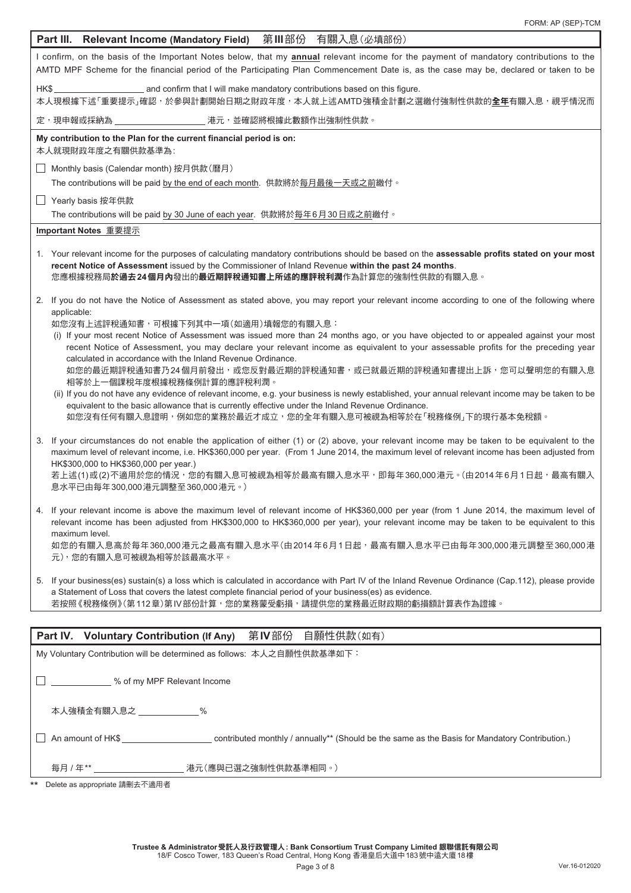| Part III. Relevant Income (Mandatory Field) 第III部份 有關入息(必填部份)                                                                                                                                                                                                                                                                        |  |  |  |  |
|--------------------------------------------------------------------------------------------------------------------------------------------------------------------------------------------------------------------------------------------------------------------------------------------------------------------------------------|--|--|--|--|
| I confirm, on the basis of the Important Notes below, that my <b>annual</b> relevant income for the payment of mandatory contributions to the<br>AMTD MPF Scheme for the financial period of the Participating Plan Commencement Date is, as the case may be, declared or taken to be                                                |  |  |  |  |
| 本人現根據下述「重要提示」確認,於參與計劃開始日期之財政年度,本人就上述AMTD 強積金計劃之選繳付強制性供款的 <b>全年</b> 有關入息,視乎情況而                                                                                                                                                                                                                                                        |  |  |  |  |
| 定,現申報或採納為<br>_ 港元,並確認將根據此數額作出強制性供款。                                                                                                                                                                                                                                                                                                  |  |  |  |  |
| My contribution to the Plan for the current financial period is on:<br>本人就現財政年度之有關供款基準為:                                                                                                                                                                                                                                             |  |  |  |  |
| Monthly basis (Calendar month) 按月供款(曆月)<br>$\Box$                                                                                                                                                                                                                                                                                    |  |  |  |  |
| The contributions will be paid by the end of each month.  供款將於每月最後一天或之前繳付 。                                                                                                                                                                                                                                                          |  |  |  |  |
| □ Yearly basis 按年供款                                                                                                                                                                                                                                                                                                                  |  |  |  |  |
| The contributions will be paid by 30 June of each year. 供款將於每年6月30日或之前繳付。                                                                                                                                                                                                                                                            |  |  |  |  |
| Important Notes 重要提示                                                                                                                                                                                                                                                                                                                 |  |  |  |  |
| 1. Your relevant income for the purposes of calculating mandatory contributions should be based on the assessable profits stated on your most<br>recent Notice of Assessment issued by the Commissioner of Inland Revenue within the past 24 months.<br>您應根據稅務局於過去24個月內發出的最近期評稅通知書上所述的應評稅利潤作為計算您的強制性供款的有關入息。                         |  |  |  |  |
| 2. If you do not have the Notice of Assessment as stated above, you may report your relevant income according to one of the following where                                                                                                                                                                                          |  |  |  |  |
| applicable:<br>如您沒有上述評稅通知書,可根據下列其中一項(如適用)填報您的有關入息:                                                                                                                                                                                                                                                                                   |  |  |  |  |
| (i) If your most recent Notice of Assessment was issued more than 24 months ago, or you have objected to or appealed against your most                                                                                                                                                                                               |  |  |  |  |
| recent Notice of Assessment, you may declare your relevant income as equivalent to your assessable profits for the preceding year<br>calculated in accordance with the Inland Revenue Ordinance.                                                                                                                                     |  |  |  |  |
| 如您的最近期評稅通知書乃24 個月前發出,或您反對最近期的評稅通知書,或已就最近期的評稅通知書提出上訴,您可以聲明您的有關入息                                                                                                                                                                                                                                                                      |  |  |  |  |
| 相等於上一個課稅年度根據稅務條例計算的應評稅利潤。                                                                                                                                                                                                                                                                                                            |  |  |  |  |
| (ii) If you do not have any evidence of relevant income, e.g. your business is newly established, your annual relevant income may be taken to be<br>equivalent to the basic allowance that is currently effective under the Inland Revenue Ordinance.                                                                                |  |  |  |  |
| 如您沒有任何有關入息證明,例如您的業務於最近才成立,您的全年有關入息可被視為相等於在「稅務條例」下的現行基本免稅額。                                                                                                                                                                                                                                                                           |  |  |  |  |
| 3. If your circumstances do not enable the application of either (1) or (2) above, your relevant income may be taken to be equivalent to the<br>maximum level of relevant income, i.e. HK\$360,000 per year. (From 1 June 2014, the maximum level of relevant income has been adjusted from<br>HK\$300,000 to HK\$360,000 per year.) |  |  |  |  |
| 若上述(1)或(2)不適用於您的情況,您的有關入息可被視為相等於最高有關入息水平,即每年360,000港元。(由2014年6月1日起,最高有關入<br>息水平已由每年300,000 港元調整至360,000 港元。)                                                                                                                                                                                                                         |  |  |  |  |
| If your relevant income is above the maximum level of relevant income of HK\$360,000 per year (from 1 June 2014, the maximum level of<br>4.<br>relevant income has been adjusted from HK\$300,000 to HK\$360,000 per year), your relevant income may be taken to be equivalent to this<br>maximum level.                             |  |  |  |  |
| 如您的有關入息高於每年360,000港元之最高有關入息水平(由2014年6月1日起,最高有關入息水平已由每年300,000港元調整至360,000港<br>元),您的有關入息可被視為相等於該最高水平。                                                                                                                                                                                                                                 |  |  |  |  |
| 5. If your business(es) sustain(s) a loss which is calculated in accordance with Part IV of the Inland Revenue Ordinance (Cap.112), please provide<br>a Statement of Loss that covers the latest complete financial period of your business(es) as evidence.<br>若按照《税務條例》(第112章)第IV部份計算,您的業務蒙受虧損,請提供您的業務最近財政期的虧損額計算表作為證據。            |  |  |  |  |
|                                                                                                                                                                                                                                                                                                                                      |  |  |  |  |
| 第Ⅳ部份<br>Part IV. Voluntary Contribution (If Any)<br>自願性供款(如有)                                                                                                                                                                                                                                                                        |  |  |  |  |
| My Voluntary Contribution will be determined as follows: 本人之自願性供款基準如下:                                                                                                                                                                                                                                                               |  |  |  |  |
| 6 % of my MPF Relevant Income                                                                                                                                                                                                                                                                                                        |  |  |  |  |
| 本人強積金有關入息之 ______________%                                                                                                                                                                                                                                                                                                           |  |  |  |  |
|                                                                                                                                                                                                                                                                                                                                      |  |  |  |  |
| 每月 / 年**                                                                                                                                                                                                                                                                                                                             |  |  |  |  |
| Delete as appropriate 請刪去不適用者<br>**                                                                                                                                                                                                                                                                                                  |  |  |  |  |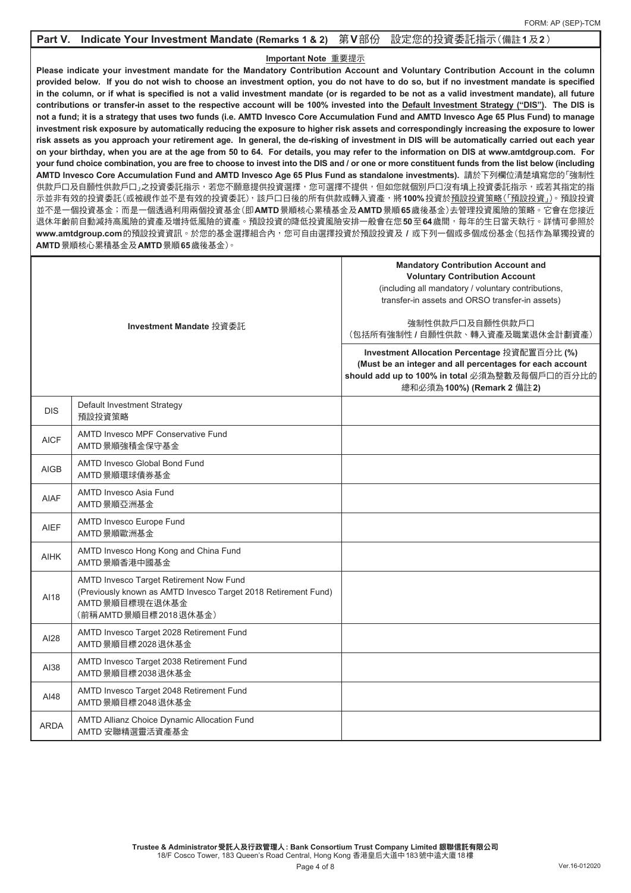### **Part V. Indicate Your Investment Mandate (Remarks 1 & 2)** 第**V**部份 設定您的投資委託指示(備註**1**及**2**)

### **Important Note** 重要提示

**Please indicate your investment mandate for the Mandatory Contribution Account and Voluntary Contribution Account in the column provided below. If you do not wish to choose an investment option, you do not have to do so, but if no investment mandate is specified in the column, or if what is specified is not a valid investment mandate (or is regarded to be not as a valid investment mandate), all future contributions or transfer-in asset to the respective account will be 100% invested into the Default Investment Strategy ("DIS"). The DIS is not a fund; it is a strategy that uses two funds (i.e. AMTD Invesco Core Accumulation Fund and AMTD Invesco Age 65 Plus Fund) to manage investment risk exposure by automatically reducing the exposure to higher risk assets and correspondingly increasing the exposure to lower risk assets as you approach your retirement age. In general, the de-risking of investment in DIS will be automatically carried out each year on your birthday, when you are at the age from 50 to 64. For details, you may refer to the information on DIS at www.amtdgroup.com. For your fund choice combination, you are free to choose to invest into the DIS and / or one or more constituent funds from the list below (including**  AMTD Invesco Core Accumulation Fund and AMTD Invesco Age 65 Plus Fund as standalone investments). 請於下列欄位清楚填寫您的「強制性 供款戶口及自願性供款戶口」之投資委託指示,若您不願意提供投資選擇,您可選擇不提供,但如您就個別戶口沒有填上投資委託指示,或若其指定的指 示並非有效的投資委託(或被視作並不是有效的投資委託),該戶口日後的所有供款或轉入資產,將**100%**投資於預設投資策略(「預設投資」)。預設投資 並不是一個投資基金;而是一個透過利用兩個投資基金(即**AMTD**景順核心累積基金及**AMTD**景順**65**歲後基金)去管理投資風險的策略。它會在您接近 退休年齡前自動減持高風險的資產及增持低風險的資產。預設投資的降低投資風險安排一般會在您50至64歲間,每年的生日當天執行。詳情可參照於 **www.amtdgroup.com**的預設投資資訊。於您的基金選擇組合內,您可自由選擇投資於預設投資及 **/** 或下列一個或多個成份基金(包括作為單獨投資的 **AMTD**景順核心累積基金及**AMTD**景順**65**歲後基金)。

| Investment Mandate 投資委託 |                                                                                                                                                      | <b>Mandatory Contribution Account and</b><br><b>Voluntary Contribution Account</b><br>(including all mandatory / voluntary contributions,<br>transfer-in assets and ORSO transfer-in assets)<br>強制性供款戶口及自願性供款戶口<br>(包括所有強制性 / 自願性供款、轉入資產及職業退休金計劃資產)<br>Investment Allocation Percentage 投資配置百分比 (%) |  |
|-------------------------|------------------------------------------------------------------------------------------------------------------------------------------------------|-----------------------------------------------------------------------------------------------------------------------------------------------------------------------------------------------------------------------------------------------------------------------------------------------------|--|
|                         |                                                                                                                                                      | (Must be an integer and all percentages for each account<br>should add up to 100% in total 必須為整數及每個戶口的百分比的<br>總和必須為100%) (Remark 2 備註2)                                                                                                                                                             |  |
| <b>DIS</b>              | Default Investment Strategy<br>預設投資策略                                                                                                                |                                                                                                                                                                                                                                                                                                     |  |
| <b>AICF</b>             | <b>AMTD Invesco MPF Conservative Fund</b><br>AMTD 景順強積金保守基金                                                                                          |                                                                                                                                                                                                                                                                                                     |  |
| <b>AIGB</b>             | AMTD Invesco Global Bond Fund<br>AMTD 景順環球債券基金                                                                                                       |                                                                                                                                                                                                                                                                                                     |  |
| <b>AIAF</b>             | AMTD Invesco Asia Fund<br>AMTD 景順亞洲基金                                                                                                                |                                                                                                                                                                                                                                                                                                     |  |
| <b>AIEF</b>             | <b>AMTD Invesco Europe Fund</b><br>AMTD景順歐洲基金                                                                                                        |                                                                                                                                                                                                                                                                                                     |  |
| <b>AIHK</b>             | AMTD Invesco Hong Kong and China Fund<br>AMTD 景順香港中國基金                                                                                               |                                                                                                                                                                                                                                                                                                     |  |
| AI18                    | AMTD Invesco Target Retirement Now Fund<br>(Previously known as AMTD Invesco Target 2018 Retirement Fund)<br>AMTD 景順目標現在退休基金<br>(前稱AMTD景順目標2018退休基金) |                                                                                                                                                                                                                                                                                                     |  |
| AI28                    | AMTD Invesco Target 2028 Retirement Fund<br>AMTD 景順目標 2028 退休基金                                                                                      |                                                                                                                                                                                                                                                                                                     |  |
| AI38                    | AMTD Invesco Target 2038 Retirement Fund<br>AMTD 景順目標 2038 退休基金                                                                                      |                                                                                                                                                                                                                                                                                                     |  |
| AI48                    | AMTD Invesco Target 2048 Retirement Fund<br>AMTD 景順目標 2048 退休基金                                                                                      |                                                                                                                                                                                                                                                                                                     |  |
| <b>ARDA</b>             | AMTD Allianz Choice Dynamic Allocation Fund<br>AMTD 安聯精選靈活資產基金                                                                                       |                                                                                                                                                                                                                                                                                                     |  |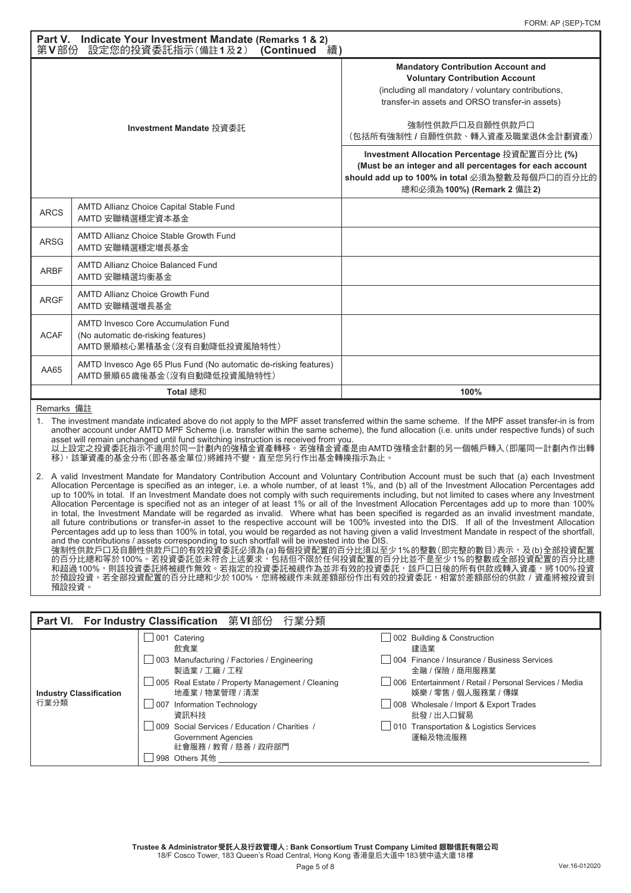| Part V. Indicate Your Investment Mandate (Remarks 1 & 2)<br>設定您的投資委託指示(備註1及2) (Continued<br>第V部份<br>繪)                                                                                                                                                                                                                                                                                                   |                                                                                                                |                                                                                                                                                                                                                                                     |  |  |
|----------------------------------------------------------------------------------------------------------------------------------------------------------------------------------------------------------------------------------------------------------------------------------------------------------------------------------------------------------------------------------------------------------|----------------------------------------------------------------------------------------------------------------|-----------------------------------------------------------------------------------------------------------------------------------------------------------------------------------------------------------------------------------------------------|--|--|
| Investment Mandate 投資委託                                                                                                                                                                                                                                                                                                                                                                                  |                                                                                                                | <b>Mandatory Contribution Account and</b><br><b>Voluntary Contribution Account</b><br>(including all mandatory / voluntary contributions,<br>transfer-in assets and ORSO transfer-in assets)<br>強制性供款戶口及自願性供款戶口<br>(包括所有強制性 / 自願性供款、轉入資產及職業退休金計劃資產) |  |  |
|                                                                                                                                                                                                                                                                                                                                                                                                          |                                                                                                                | Investment Allocation Percentage 投資配置百分比 (%)<br>(Must be an integer and all percentages for each account<br>should add up to 100% in total 必須為整數及每個戶口的百分比的<br>總和必須為 100%) (Remark 2 備註 2)                                                           |  |  |
| <b>ARCS</b>                                                                                                                                                                                                                                                                                                                                                                                              | AMTD Allianz Choice Capital Stable Fund<br>AMTD 安聯精選穩定資本基金                                                     |                                                                                                                                                                                                                                                     |  |  |
| <b>ARSG</b>                                                                                                                                                                                                                                                                                                                                                                                              | <b>AMTD Allianz Choice Stable Growth Fund</b><br>AMTD 安聯精選穩定增長基金                                               |                                                                                                                                                                                                                                                     |  |  |
| <b>ARBF</b>                                                                                                                                                                                                                                                                                                                                                                                              | <b>AMTD Allianz Choice Balanced Fund</b><br>AMTD 安聯精選均衡基金                                                      |                                                                                                                                                                                                                                                     |  |  |
| <b>ARGF</b>                                                                                                                                                                                                                                                                                                                                                                                              | <b>AMTD Allianz Choice Growth Fund</b><br>AMTD 安聯精選增長基金                                                        |                                                                                                                                                                                                                                                     |  |  |
| <b>ACAF</b>                                                                                                                                                                                                                                                                                                                                                                                              | <b>AMTD Invesco Core Accumulation Fund</b><br>(No automatic de-risking features)<br>AMTD景順核心累積基金(沒有自動降低投資風險特性) |                                                                                                                                                                                                                                                     |  |  |
| AA65                                                                                                                                                                                                                                                                                                                                                                                                     | AMTD Invesco Age 65 Plus Fund (No automatic de-risking features)<br>AMTD 景順65 歲後基金 (沒有自動降低投資風險特性)              |                                                                                                                                                                                                                                                     |  |  |
|                                                                                                                                                                                                                                                                                                                                                                                                          | <b>Total 總和</b>                                                                                                | 100%                                                                                                                                                                                                                                                |  |  |
| Remarks 備註<br>The investment mandate indicated above do not apply to the MPF asset transferred within the same scheme. If the MPF asset transfer-in is from<br>1.<br>another account under AMTD MPF Scheme (i.e. transfer within the same scheme), the fund allocation (i.e. units under respective funds) of such<br>asset will remain unchanged until fund switching instruction is received from you. |                                                                                                                |                                                                                                                                                                                                                                                     |  |  |

asset will remain unchanged until fund switching instruction is received from you. 以上設定之投資委託指示不適用於同一計劃內的強積金資產轉移。若強積金資產是由AMTD強積金計劃的另一個帳戶轉入(即屬同一計劃內作出轉 移),該筆資產的基金分布(即各基金單位)將維持不變,直至您另行作出基金轉換指示為止。

2. A valid Investment Mandate for Mandatory Contribution Account and Voluntary Contribution Account must be such that (a) each Investment Allocation Percentage is specified as an integer, i.e. a whole number, of at least 1%, and (b) all of the Investment Allocation Percentages add up to 100% in total. If an Investment Mandate does not comply with such requirements including, but not limited to cases where any Investment Allocation Percentage is specified not as an integer of at least 1% or all of the Investment Allocation Percentages add up to more than 100% in total, the Investment Mandate will be regarded as invalid. Where what has been specified is regarded as an invalid investment mandate, all future contributions or transfer-in asset to the respective account will be 100% invested into the DIS. If all of the Investment Allocation Percentages add up to less than 100% in total, you would be regarded as not having given a valid Investment Mandate in respect of the shortfall, and the contributions / assets corresponding to such shortfall will be invested into the DIS. 強制性供款戶口及自願性供款戶口的有效投資委託必須為(a)每個投資配置的百分比須以至少1%的整數(即完整的數目)表示,及(b)全部投資配置 的百分比總和等於100%。若投資委託並未符合上述要求,包括但不限於任何投資配置的百分比並不是至少1%的整數或全部投資配置的百分比總 。<br>和超過100%,則該投資委託將被視作無效。若指定的投資委託被視作為並非有效的投資委託,該戶口日後的所有供款或轉入資產,將100%投資 於預設投資。若全部投資配置的百分比總和少於100%,您將被視作未就差額部份作出有效的投資委託,相當於差額部份的供款 / 資產將被投資到 預設投資。

### **Part VI. For Industry Classification** 第**VI**部份 行業分類 **Industry Classification** 行業分類 001 Catering 002 Building & Construction 飲食業 しょうかん しゅうしょう しゅうしょう かいしょう 建造業 003 Manufacturing / Factories / Engineering 004 Finance / Insurance / Business Services 製造業 / 工廠 / 工程 金融 / 保險 / 商用服務業 005 Real Estate / Property Management / Cleaning 006 Entertainment / Retail / Personal Services / Media 地產業 / 物業管理 / 清潔 はいちゃく はんじゅん はんじゅん ちゅうしゃ はんじゅん ちゅうしょく ちゅうしょく はんじょう はんじょう 地産業 / 物業 / 専媒 この8 Wholesale / Import & Export Tr  $\Box$  008 Wholesale / Import & Export Trades **資訊科技 インディング おおおお インター エンジェット おおおおお おおおお おおおお おおおお おおおお おおおお 批發 / 出入口貿易** 009 Social Services / Education / Charities / 010 Transportation & Logistics Services Government Agencies 社會服務 / 教育 / 慈善 / 政府部門 □ 998 Others 其他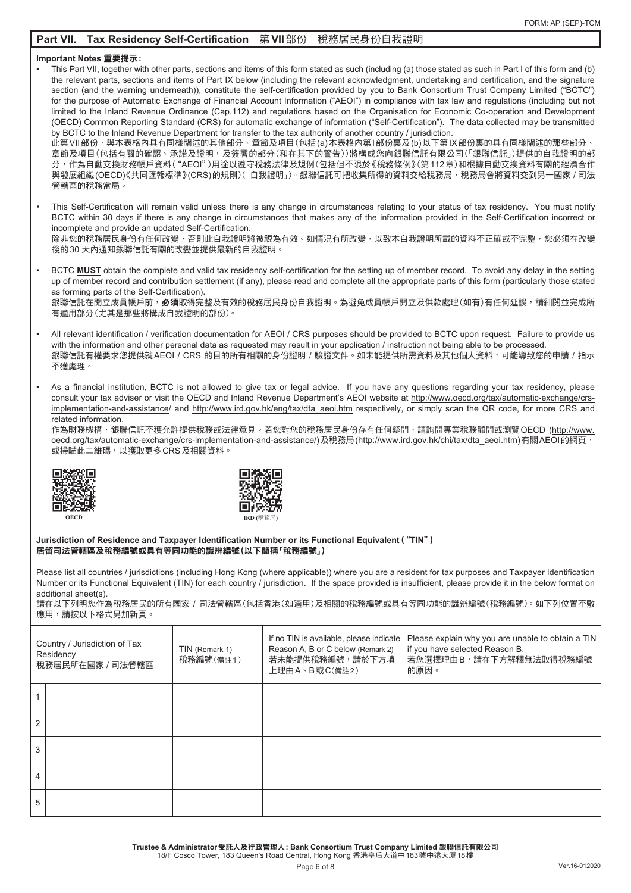## **Part VII. Tax Residency Self-Certification** 第**VII**部份 稅務居民身份自我證明

### **Important Notes** 重要提示**:**

This Part VII, together with other parts, sections and items of this form stated as such (including (a) those stated as such in Part I of this form and (b) the relevant parts, sections and items of Part IX below (including the relevant acknowledgment, undertaking and certification, and the signature section (and the warning underneath)), constitute the self-certification provided by you to Bank Consortium Trust Company Limited ("BCTC") for the purpose of Automatic Exchange of Financial Account Information ("AEOI") in compliance with tax law and regulations (including but not limited to the Inland Revenue Ordinance (Cap.112) and regulations based on the Organisation for Economic Co-operation and Development (OECD) Common Reporting Standard (CRS) for automatic exchange of information ("Self-Certification"). The data collected may be transmitted by BCTC to the Inland Revenue Department for transfer to the tax authority of another country / jurisdiction.

此第VII部份,與本表格內具有同樣闡述的其他部分、章節及項目(包括(a)本表格內第I部份裏及(b)以下第IX部份裏的具有同樣闡述的那些部分、 章節及項目(包括有關的確認、承諾及證明,及簽署的部分(和在其下的警告))將構成您向銀聯信託有限公司(「銀聯信託」)提供的自我證明的部 分,作為自動交換財務帳戶資料("AEOI")用途以遵守稅務法律及規例(包括但不限於《稅務條例》(第112章)和根據自動交換資料有關的經濟合作 與發展組織(OECD)《共同匯報標準》(CRS)的規則)(「自我證明」)。銀聯信託可把收集所得的資料交給稅務局,稅務局會將資料交到另一國家 / 司法 管轄區的稅務當局。

This Self-Certification will remain valid unless there is any change in circumstances relating to your status of tax residency. You must notify BCTC within 30 days if there is any change in circumstances that makes any of the information provided in the Self-Certification incorrect or incomplete and provide an updated Self-Certification.

除非您的稅務居民身份有任何改變,否則此自我證明將被視為有效。如情況有所改變,以致本自我證明所載的資料不正確或不完整,您必須在改變 後的30 天內通知銀聯信託有關的改變並提供最新的自我證明。

- BCTC MUST obtain the complete and valid tax residency self-certification for the setting up of member record. To avoid any delay in the setting up of member record and contribution settlement (if any), please read and complete all the appropriate parts of this form (particularly those stated as forming parts of the Self-Certification). 銀聯信託在開立成員帳戶前,<u>必須</u>取得完整及有效的稅務居民身份自我證明。為避免成員帳戶開立及供款處理(如有)有任何延誤,請細閱並完成所 有適用部分(尤其是那些將構成自我證明的部份)。
- All relevant identification / verification documentation for AEOI / CRS purposes should be provided to BCTC upon request. Failure to provide us with the information and other personal data as requested may result in your application / instruction not being able to be processed 銀聯信託有權要求您提供就AEOI / CRS 的目的所有相關的身份證明 / 驗證文件。如未能提供所需資料及其他個人資料,可能導致您的申請 / 指示 不獲處理。
- As a financial institution, BCTC is not allowed to give tax or legal advice. If you have any questions regarding your tax residency, please consult your tax adviser or visit the OECD and Inland Revenue Department's AEOI website at http://www.oecd.org/tax/automatic-exchange/crsimplementation-and-assistance/ and http://www.ird.gov.hk/eng/tax/dta\_aeoi.htm respectively, or simply scan the QR code, for more CRS and related information.

作為財務機構,銀聯信託不獲允許提供稅務或法律意見。若您對您的稅務居民身份存有任何疑問,請詢問專業稅務顧問或瀏覽OECD (http://www. oecd.org/tax/automatic-exchange/crs-implementation-and-assistance/)及稅務局(http://www.ird.gov.hk/chi/tax/dta\_aeoi.htm)有關AEOI的網頁, 或掃瞄此二維碼,以獲取更多CRS及相關資料。





**Jurisdiction of Residence and Taxpayer Identification Number or its Functional Equivalent**("**TIN**") 居留司法管轄區及稅務編號或具有等同功能的識辨編號(以下簡稱「稅務編號」)

Please list all countries / jurisdictions (including Hong Kong (where applicable)) where you are a resident for tax purposes and Taxpayer Identification Number or its Functional Equivalent (TIN) for each country / jurisdiction. If the space provided is insufficient, please provide it in the below format on additional sheet(s).

請在以下列明您作為稅務居民的所有國家 / 司法管轄區(包括香港(如適用)及相關的稅務編號或具有等同功能的識辨編號(稅務編號)。如下列位置不敷 應用,請按以下格式另加新頁。

| Country / Jurisdiction of Tax<br>Residency<br>稅務居民所在國家 / 司法管轄區 |  | TIN (Remark 1)<br>税務編號(備註1) | If no TIN is available, please indicate<br>Reason A, B or C below (Remark 2)<br>若未能提供稅務編號,請於下方填<br>上理由A、B或C(備註2) | Please explain why you are unable to obtain a TIN<br>if you have selected Reason B.<br>若您選擇理由B,請在下方解釋無法取得稅務編號<br>的原因。 |
|----------------------------------------------------------------|--|-----------------------------|------------------------------------------------------------------------------------------------------------------|-----------------------------------------------------------------------------------------------------------------------|
|                                                                |  |                             |                                                                                                                  |                                                                                                                       |
|                                                                |  |                             |                                                                                                                  |                                                                                                                       |
|                                                                |  |                             |                                                                                                                  |                                                                                                                       |
|                                                                |  |                             |                                                                                                                  |                                                                                                                       |
|                                                                |  |                             |                                                                                                                  |                                                                                                                       |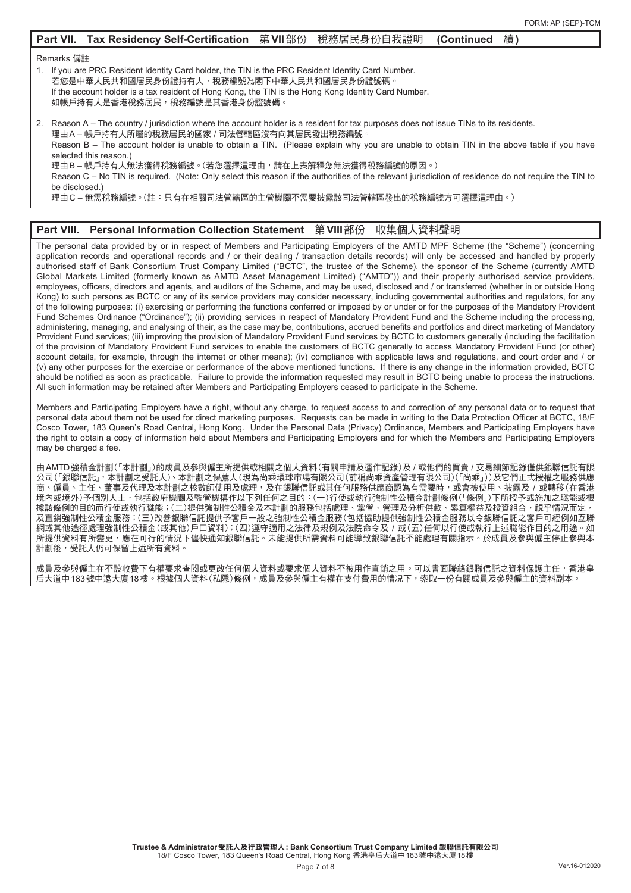|                                                                                                                                                                                                                                                                                                       | Part VII. Tax Residency Self-Certification 第VII部份 税務居民身份自我證明                                                                                                                                                                                                                                                                                                                                                                                                                                                                                                                                                                        |  |  | (Continued | 續) |  |
|-------------------------------------------------------------------------------------------------------------------------------------------------------------------------------------------------------------------------------------------------------------------------------------------------------|-------------------------------------------------------------------------------------------------------------------------------------------------------------------------------------------------------------------------------------------------------------------------------------------------------------------------------------------------------------------------------------------------------------------------------------------------------------------------------------------------------------------------------------------------------------------------------------------------------------------------------------|--|--|------------|----|--|
| Remarks 備註<br>1. If you are PRC Resident Identity Card holder, the TIN is the PRC Resident Identity Card Number.<br>若您是中華人民共和國居民身份證持有人,稅務編號為閣下中華人民共和國居民身份證號碼。<br>If the account holder is a tax resident of Hong Kong, the TIN is the Hong Kong Identity Card Number.<br>如帳戶持有人是香港稅務居民,稅務編號是其香港身份證號碼。 |                                                                                                                                                                                                                                                                                                                                                                                                                                                                                                                                                                                                                                     |  |  |            |    |  |
| be disclosed.)                                                                                                                                                                                                                                                                                        | 2. Reason A – The country / jurisdiction where the account holder is a resident for tax purposes does not issue TINs to its residents.<br>理由A – 帳戶持有人所屬的稅務居民的國家 / 司法管轄區沒有向其居民發出稅務編號。<br>Reason B – The account holder is unable to obtain a TIN. (Please explain why you are unable to obtain TIN in the above table if you have<br>selected this reason.)<br>理由B – 帳戶持有人無法獲得稅務編號。(若您選擇這理由,請在上表解釋您無法獲得稅務編號的原因。)<br>Reason C – No TIN is required. (Note: Only select this reason if the authorities of the relevant jurisdiction of residence do not require the TIN to<br>理由C–無需稅務編號。(註:只有在相關司法管轄區的主管機關不需要披露該司法管轄區發出的稅務編號方可選擇這理由。) |  |  |            |    |  |

# **Part VIII. Personal Information Collection Statement** 第**VIII**部份 收集個人資料聲明

The personal data provided by or in respect of Members and Participating Employers of the AMTD MPF Scheme (the "Scheme") (concerning application records and operational records and / or their dealing / transaction details records) will only be accessed and handled by properly authorised staff of Bank Consortium Trust Company Limited ("BCTC", the trustee of the Scheme), the sponsor of the Scheme (currently AMTD Global Markets Limited (formerly known as AMTD Asset Management Limited) ("AMTD")) and their properly authorised service providers, employees, officers, directors and agents, and auditors of the Scheme, and may be used, disclosed and / or transferred (whether in or outside Hong Kong) to such persons as BCTC or any of its service providers may consider necessary, including governmental authorities and regulators, for any of the following purposes: (i) exercising or performing the functions conferred or imposed by or under or for the purposes of the Mandatory Provident Fund Schemes Ordinance ("Ordinance"); (ii) providing services in respect of Mandatory Provident Fund and the Scheme including the processing, administering, managing, and analysing of their, as the case may be, contributions, accrued benefits and portfolios and direct marketing of Mandatory Provident Fund services; (iii) improving the provision of Mandatory Provident Fund services by BCTC to customers generally (including the facilitation of the provision of Mandatory Provident Fund services to enable the customers of BCTC generally to access Mandatory Provident Fund (or other) account details, for example, through the internet or other means); (iv) compliance with applicable laws and regulations, and court order and / or (v) any other purposes for the exercise or performance of the above mentioned functions. If there is any change in the information provided, BCTC should be notified as soon as practicable. Failure to provide the information requested may result in BCTC being unable to process the instructions. All such information may be retained after Members and Participating Employers ceased to participate in the Scheme.

Members and Participating Employers have a right, without any charge, to request access to and correction of any personal data or to request that personal data about them not be used for direct marketing purposes. Requests can be made in writing to the Data Protection Officer at BCTC, 18/F Cosco Tower, 183 Queen's Road Central, Hong Kong. Under the Personal Data (Privacy) Ordinance, Members and Participating Employers have the right to obtain a copy of information held about Members and Participating Employers and for which the Members and Participating Employers may be charged a fee.

由AMTD強積金計劃(「本計劃」)的成員及參與僱主所提供或相關之個人資料(有關申請及運作記錄)及 / 或他們的買賣 / 交易細節記錄僅供銀聯信託有限 公司(「銀聯信託」,本計劃之受託人)、本計劃之保薦人(現為尚乘環球市場有限公司(前稱尚乘資產管理有限公司)(「尚乘」))及它們正式授權之服務供應 商、僱員、主任、董事及代理及本計劃之核數師使用及處理,及在銀聯信託或其任何服務供應商認為有需要時,或會被使用、披露及 / 或轉移(在香港 境內或境外)予個別人士,包括政府機關及監管機構作以下列任何之目的:(一)行使或執行強制性公積金計劃條例(「條例」)下所授予或施加之職能或根 ·據該條例的目的而行使或執行職能;(二)提供強制性公積金及本計劃的服務包括處理、掌管、管理及分析供款、累算權益及投資組合,視乎情況而定, 及直銷強制性公積金服務;(三)改善銀聯信託提供予客戶一般之強制性公積金服務(包括協助提供強制性公積金服務以令銀聯信託之客戶可經例如互聯 網或其他途徑處理強制性公積金(或其他)戶口資料);(四)遵守適用之法律及規例及法院命令及 / 或(五)任何以行使或執行上述職能作目的之用途。如 所提供資料有所變更,應在可行的情況下儘快通知銀聯信託。未能提供所需資料可能導致銀聯信託不能處理有關指示。於成員及參與僱主停止參與本 計劃後,受託人仍可保留上述所有資料。

成員及參與僱主在不設收費下有權要求查閱或更改任何個人資料或要求個人資料不被用作直銷之用。可以書面聯絡銀聯信託之資料保護主任,香港皇 后大道中183號中遠大廈18樓。根據個人資料(私隱)條例,成員及參與僱主有權在支付費用的情况下,索取一份有關成員及參與僱主的資料副本。